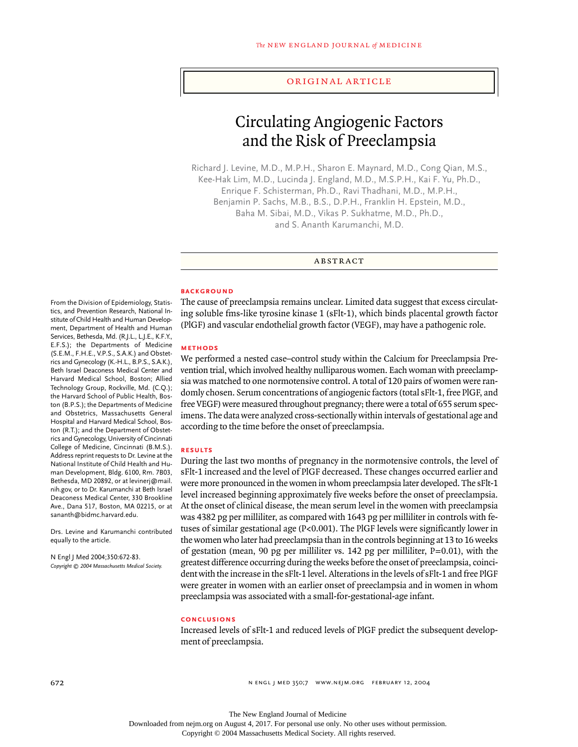#### original article

# Circulating Angiogenic Factors and the Risk of Preeclampsia

Richard J. Levine, M.D., M.P.H., Sharon E. Maynard, M.D., Cong Qian, M.S., Kee-Hak Lim, M.D., Lucinda J. England, M.D., M.S.P.H., Kai F. Yu, Ph.D., Enrique F. Schisterman, Ph.D., Ravi Thadhani, M.D., M.P.H., Benjamin P. Sachs, M.B., B.S., D.P.H., Franklin H. Epstein, M.D., Baha M. Sibai, M.D., Vikas P. Sukhatme, M.D., Ph.D., and S. Ananth Karumanchi, M.D.

abstract

# **background**

The cause of preeclampsia remains unclear. Limited data suggest that excess circulating soluble fms-like tyrosine kinase 1 (sFlt-1), which binds placental growth factor (PlGF) and vascular endothelial growth factor (VEGF), may have a pathogenic role.

#### **methods**

We performed a nested case–control study within the Calcium for Preeclampsia Prevention trial, which involved healthy nulliparous women. Each woman with preeclampsia was matched to one normotensive control. A total of 120 pairs of women were randomly chosen. Serum concentrations of angiogenic factors (total sFlt-1, free PlGF, and free VEGF) were measured throughout pregnancy; there were a total of 655 serum specimens. The data were analyzed cross-sectionally within intervals of gestational age and according to the time before the onset of preeclampsia.

#### **results**

During the last two months of pregnancy in the normotensive controls, the level of sFlt-1 increased and the level of PlGF decreased. These changes occurred earlier and were more pronounced in the women in whom preeclampsia later developed. The sFlt-1 level increased beginning approximately five weeks before the onset of preeclampsia. At the onset of clinical disease, the mean serum level in the women with preeclampsia was 4382 pg per milliliter, as compared with 1643 pg per milliliter in controls with fetuses of similar gestational age (P<0.001). The PlGF levels were significantly lower in the women who later had preeclampsia than in the controls beginning at 13 to 16 weeks of gestation (mean, 90 pg per milliliter vs. 142 pg per milliliter,  $P=0.01$ ), with the greatest difference occurring during the weeks before the onset of preeclampsia, coincident with the increase in the sFlt-1 level. Alterations in the levels of sFlt-1 and free PlGF were greater in women with an earlier onset of preeclampsia and in women in whom preeclampsia was associated with a small-for-gestational-age infant.

# **conclusions**

Increased levels of sFlt-1 and reduced levels of PlGF predict the subsequent development of preeclampsia.

From the Division of Epidemiology, Statistics, and Prevention Research, National Institute of Child Health and Human Development, Department of Health and Human Services, Bethesda, Md. (R.J.L., L.J.E., K.F.Y., E.F.S.); the Departments of Medicine (S.E.M., F.H.E., V.P.S., S.A.K.) and Obstetrics and Gynecology (K.-H.L., B.P.S., S.A.K.), Beth Israel Deaconess Medical Center and Harvard Medical School, Boston; Allied Technology Group, Rockville, Md. (C.Q.); the Harvard School of Public Health, Boston (B.P.S.); the Departments of Medicine and Obstetrics, Massachusetts General Hospital and Harvard Medical School, Boston (R.T.); and the Department of Obstetrics and Gynecology, University of Cincinnati College of Medicine, Cincinnati (B.M.S.). Address reprint requests to Dr. Levine at the National Institute of Child Health and Human Development, Bldg. 6100, Rm. 7B03, Bethesda, MD 20892, or at levinerj@mail. nih.gov, or to Dr. Karumanchi at Beth Israel Deaconess Medical Center, 330 Brookline Ave., Dana 517, Boston, MA 02215, or at sananth@bidmc.harvard.edu.

Drs. Levine and Karumanchi contributed equally to the article.

N Engl J Med 2004;350:672-83. *Copyright © 2004 Massachusetts Medical Society.*

The New England Journal of Medicine

Downloaded from nejm.org on August 4, 2017. For personal use only. No other uses without permission. Copyright © 2004 Massachusetts Medical Society. All rights reserved.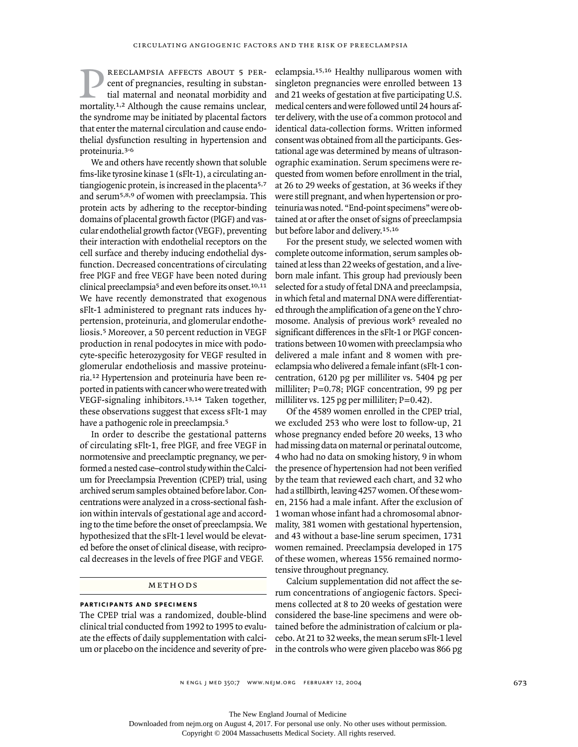reeclampsia affects about 5 percent of pregnancies, resulting in substantial maternal and neonatal morbidity and mortality.<sup>1,2</sup> Although the cause remains unclear, the syndrome may be initiated by placental factors that enter the maternal circulation and cause endothelial dysfunction resulting in hypertension and proteinuria.3-6 p

We and others have recently shown that soluble fms-like tyrosine kinase 1 (sFlt-1), a circulating antiangiogenic protein, is increased in the placenta5,7 and serum5,8,9 of women with preeclampsia. This protein acts by adhering to the receptor-binding domains of placental growth factor (PlGF) and vascular endothelial growth factor (VEGF), preventing their interaction with endothelial receptors on the cell surface and thereby inducing endothelial dysfunction. Decreased concentrations of circulating free PlGF and free VEGF have been noted during clinical preeclampsia5 and even before its onset.10,11 We have recently demonstrated that exogenous sFlt-1 administered to pregnant rats induces hypertension, proteinuria, and glomerular endotheliosis.5 Moreover, a 50 percent reduction in VEGF production in renal podocytes in mice with podocyte-specific heterozygosity for VEGF resulted in glomerular endotheliosis and massive proteinuria.12 Hypertension and proteinuria have been reported in patients with cancer who were treated with VEGF-signaling inhibitors.13,14 Taken together, these observations suggest that excess sFlt-1 may have a pathogenic role in preeclampsia.<sup>5</sup>

In order to describe the gestational patterns of circulating sFlt-1, free PlGF, and free VEGF in normotensive and preeclamptic pregnancy, we performed a nested case–control study within the Calcium for Preeclampsia Prevention (CPEP) trial, using archived serum samples obtained before labor. Concentrations were analyzed in a cross-sectional fashion within intervals of gestational age and according to the time before the onset of preeclampsia. We hypothesized that the sFlt-1 level would be elevated before the onset of clinical disease, with reciprocal decreases in the levels of free PlGF and VEGF.

#### METHODS

#### **participants and specimens**

The CPEP trial was a randomized, double-blind clinical trial conducted from 1992 to 1995 to evaluate the effects of daily supplementation with calcium or placebo on the incidence and severity of preeclampsia.15,16 Healthy nulliparous women with singleton pregnancies were enrolled between 13 and 21 weeks of gestation at five participating U.S. medical centers and were followed until 24 hours after delivery, with the use of a common protocol and identical data-collection forms. Written informed consent was obtained from all the participants. Gestational age was determined by means of ultrasonographic examination. Serum specimens were requested from women before enrollment in the trial, at 26 to 29 weeks of gestation, at 36 weeks if they were still pregnant, and when hypertension or proteinuria was noted. "End-point specimens" were obtained at or after the onset of signs of preeclampsia but before labor and delivery.15,16

For the present study, we selected women with complete outcome information, serum samples obtained at less than 22 weeks of gestation, and a liveborn male infant. This group had previously been selected for a study of fetal DNA and preeclampsia, in which fetal and maternal DNA were differentiated through the amplification of a gene on the Y chromosome. Analysis of previous work<sup>5</sup> revealed no significant differences in the sFlt-1 or PlGF concentrations between 10 women with preeclampsia who delivered a male infant and 8 women with preeclampsia who delivered a female infant (sFlt-1 concentration, 6120 pg per milliliter vs. 5404 pg per milliliter; P=0.78; PlGF concentration, 99 pg per milliliter vs. 125 pg per milliliter;  $P=0.42$ ).

Of the 4589 women enrolled in the CPEP trial, we excluded 253 who were lost to follow-up, 21 whose pregnancy ended before 20 weeks, 13 who had missing data on maternal or perinatal outcome, 4 who had no data on smoking history, 9 in whom the presence of hypertension had not been verified by the team that reviewed each chart, and 32 who had a stillbirth, leaving 4257 women. Of these women, 2156 had a male infant. After the exclusion of 1 woman whose infant had a chromosomal abnormality, 381 women with gestational hypertension, and 43 without a base-line serum specimen, 1731 women remained. Preeclampsia developed in 175 of these women, whereas 1556 remained normotensive throughout pregnancy.

Calcium supplementation did not affect the serum concentrations of angiogenic factors. Specimens collected at 8 to 20 weeks of gestation were considered the base-line specimens and were obtained before the administration of calcium or placebo. At 21 to 32 weeks, the mean serum sFlt-1 level in the controls who were given placebo was 866 pg

The New England Journal of Medicine

Downloaded from nejm.org on August 4, 2017. For personal use only. No other uses without permission.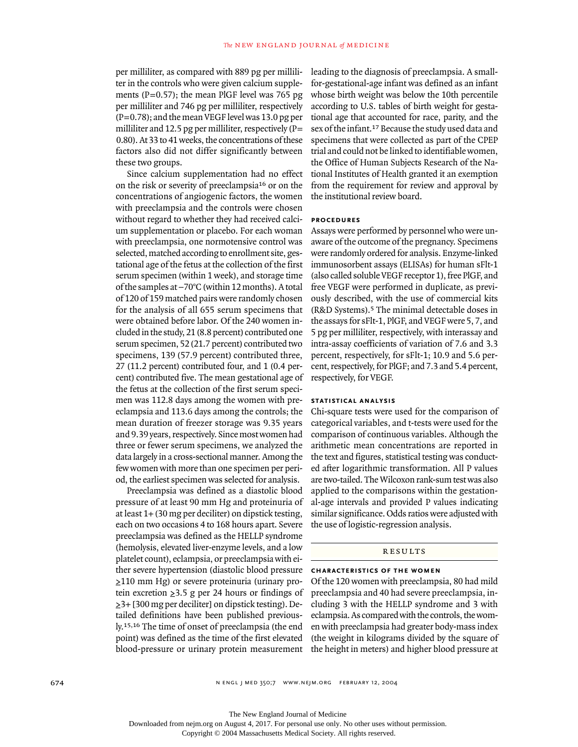per milliliter, as compared with 889 pg per milliliter in the controls who were given calcium supplements ( $P=0.57$ ); the mean PlGF level was 765 pg per milliliter and 746 pg per milliliter, respectively  $(P=0.78)$ ; and the mean VEGF level was 13.0 pg per milliliter and 12.5 pg per milliliter, respectively  $(P=$ 0.80). At 33 to 41 weeks, the concentrations of these factors also did not differ significantly between these two groups.

Since calcium supplementation had no effect on the risk or severity of preeclampsia16 or on the concentrations of angiogenic factors, the women with preeclampsia and the controls were chosen without regard to whether they had received calcium supplementation or placebo. For each woman with preeclampsia, one normotensive control was selected, matched according to enrollment site, gestational age of the fetus at the collection of the first serum specimen (within 1 week), and storage time of the samples at  $-70^{\circ}$ C (within 12 months). A total of 120 of 159 matched pairs were randomly chosen for the analysis of all 655 serum specimens that were obtained before labor. Of the 240 women included in the study, 21 (8.8 percent) contributed one serum specimen, 52 (21.7 percent) contributed two specimens, 139 (57.9 percent) contributed three, 27 (11.2 percent) contributed four, and 1 (0.4 percent) contributed five. The mean gestational age of the fetus at the collection of the first serum specimen was 112.8 days among the women with preeclampsia and 113.6 days among the controls; the mean duration of freezer storage was 9.35 years and 9.39 years, respectively. Since most women had three or fewer serum specimens, we analyzed the data largely in a cross-sectional manner. Among the few women with more than one specimen per period, the earliest specimen was selected for analysis.

Preeclampsia was defined as a diastolic blood pressure of at least 90 mm Hg and proteinuria of at least 1+ (30 mg per deciliter) on dipstick testing, each on two occasions 4 to 168 hours apart. Severe preeclampsia was defined as the HELLP syndrome (hemolysis, elevated liver-enzyme levels, and a low platelet count), eclampsia, or preeclampsia with either severe hypertension (diastolic blood pressure ≥110 mm Hg) or severe proteinuria (urinary protein excretion  $\geq 3.5$  g per 24 hours or findings of ≥3+ [300 mg per deciliter] on dipstick testing). Detailed definitions have been published previously.15,16 The time of onset of preeclampsia (the end point) was defined as the time of the first elevated blood-pressure or urinary protein measurement

leading to the diagnosis of preeclampsia. A smallfor-gestational-age infant was defined as an infant whose birth weight was below the 10th percentile according to U.S. tables of birth weight for gestational age that accounted for race, parity, and the sex of the infant.17 Because the study used data and specimens that were collected as part of the CPEP trial and could not be linked to identifiable women, the Office of Human Subjects Research of the National Institutes of Health granted it an exemption from the requirement for review and approval by the institutional review board.

# **procedures**

Assays were performed by personnel who were unaware of the outcome of the pregnancy. Specimens were randomly ordered for analysis. Enzyme-linked immunosorbent assays (ELISAs) for human sFlt-1 (also called soluble VEGF receptor 1), free PlGF, and free VEGF were performed in duplicate, as previously described, with the use of commercial kits (R&D Systems).5 The minimal detectable doses in the assays for sFlt-1, PlGF, and VEGF were 5, 7, and 5 pg per milliliter, respectively, with interassay and intra-assay coefficients of variation of 7.6 and 3.3 percent, respectively, for sFlt-1; 10.9 and 5.6 percent, respectively, for PlGF; and 7.3 and 5.4 percent, respectively, for VEGF.

# **statistical analysis**

Chi-square tests were used for the comparison of categorical variables, and t-tests were used for the comparison of continuous variables. Although the arithmetic mean concentrations are reported in the text and figures, statistical testing was conducted after logarithmic transformation. All P values are two-tailed. The Wilcoxon rank-sum test was also applied to the comparisons within the gestational-age intervals and provided P values indicating similar significance. Odds ratios were adjusted with the use of logistic-regression analysis.

# **RESULTS**

# **characteristics of the women**

Of the 120 women with preeclampsia, 80 had mild preeclampsia and 40 had severe preeclampsia, including 3 with the HELLP syndrome and 3 with eclampsia. As compared with the controls, the women with preeclampsia had greater body-mass index (the weight in kilograms divided by the square of the height in meters) and higher blood pressure at

The New England Journal of Medicine

Downloaded from nejm.org on August 4, 2017. For personal use only. No other uses without permission.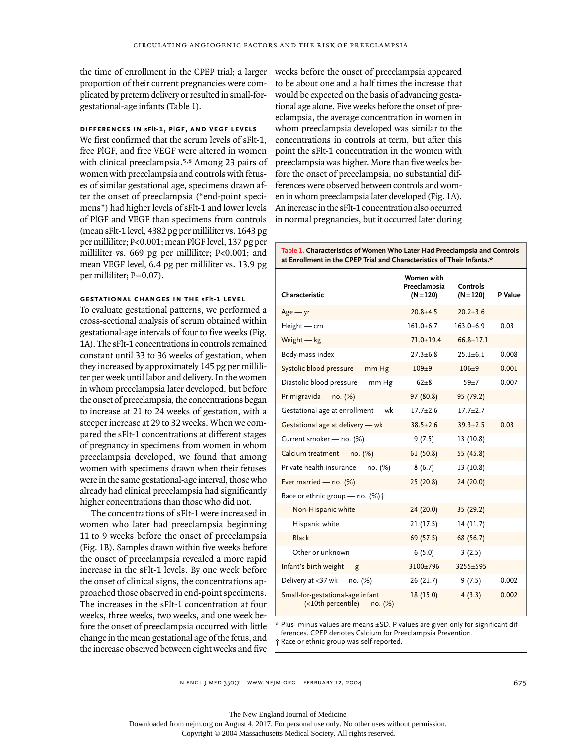the time of enrollment in the CPEP trial; a larger proportion of their current pregnancies were complicated by preterm delivery or resulted in small-forgestational-age infants (Table 1).

# **differences in sflt-1, plgf, and vegf levels**

We first confirmed that the serum levels of sFlt-1, free PlGF, and free VEGF were altered in women with clinical preeclampsia.5,8 Among 23 pairs of women with preeclampsia and controls with fetuses of similar gestational age, specimens drawn after the onset of preeclampsia ("end-point specimens") had higher levels of sFlt-1 and lower levels of PlGF and VEGF than specimens from controls (mean sFlt-1 level, 4382 pg per milliliter vs. 1643 pg per milliliter; P<0.001; mean PlGF level, 137 pg per milliliter vs. 669 pg per milliliter; P<0.001; and mean VEGF level, 6.4 pg per milliliter vs. 13.9 pg per milliliter; P=0.07).

#### **gestational changes in the sflt-1 level**

To evaluate gestational patterns, we performed a cross-sectional analysis of serum obtained within gestational-age intervals of four to five weeks (Fig. 1A). The sFlt-1 concentrations in controls remained constant until 33 to 36 weeks of gestation, when they increased by approximately 145 pg per milliliter per week until labor and delivery. In the women in whom preeclampsia later developed, but before the onset of preeclampsia, the concentrations began to increase at 21 to 24 weeks of gestation, with a steeper increase at 29 to 32 weeks. When we compared the sFlt-1 concentrations at different stages of pregnancy in specimens from women in whom preeclampsia developed, we found that among women with specimens drawn when their fetuses were in the same gestational-age interval, those who already had clinical preeclampsia had significantly higher concentrations than those who did not.

The concentrations of sFlt-1 were increased in women who later had preeclampsia beginning 11 to 9 weeks before the onset of preeclampsia (Fig. 1B). Samples drawn within five weeks before the onset of preeclampsia revealed a more rapid increase in the sFlt-1 levels. By one week before the onset of clinical signs, the concentrations approached those observed in end-point specimens. The increases in the sFlt-1 concentration at four weeks, three weeks, two weeks, and one week before the onset of preeclampsia occurred with little change in the mean gestational age of the fetus, and the increase observed between eight weeks and five

weeks before the onset of preeclampsia appeared to be about one and a half times the increase that would be expected on the basis of advancing gestational age alone. Five weeks before the onset of preeclampsia, the average concentration in women in whom preeclampsia developed was similar to the concentrations in controls at term, but after this point the sFlt-1 concentration in the women with preeclampsia was higher. More than five weeks before the onset of preeclampsia, no substantial differences were observed between controls and women in whom preeclampsia later developed (Fig. 1A). An increase in the sFlt-1 concentration also occurred in normal pregnancies, but it occurred later during

# **Table 1. Characteristics of Women Who Later Had Preeclampsia and Controls at Enrollment in the CPEP Trial and Characteristics of Their Infants.\***

| Characteristic                                                          | Women with<br>Preeclampsia<br>$(N=120)$ | <b>Controls</b><br>$(N=120)$ | P Value |
|-------------------------------------------------------------------------|-----------------------------------------|------------------------------|---------|
| $Age - yr$                                                              | $20.8 + 4.5$                            | $20.2 + 3.6$                 |         |
| $Height - cm$                                                           | $161.0 + 6.7$                           | $163.0 + 6.9$                | 0.03    |
| Weight - kg                                                             | $71.0 + 19.4$                           | $66.8 + 17.1$                |         |
| Body-mass index                                                         | $27.3 + 6.8$                            | $25.1 + 6.1$                 | 0.008   |
| Systolic blood pressure - mm Hg                                         | $109 + 9$                               | $106 + 9$                    | 0.001   |
| Diastolic blood pressure - mm Hg                                        | $62 + 8$                                | $59 + 7$                     | 0.007   |
| Primigravida - no. (%)                                                  | 97 (80.8)                               | 95 (79.2)                    |         |
| Gestational age at enrollment - wk                                      | $17.7 + 2.6$                            | $17.7 + 2.7$                 |         |
| Gestational age at delivery - wk                                        | $38.5 \pm 2.6$                          | $39.3 \pm 2.5$               | 0.03    |
| Current smoker - no. (%)                                                | 9(7.5)                                  | 13 (10.8)                    |         |
| Calcium treatment - no. (%)                                             | 61(50.8)                                | 55 (45.8)                    |         |
| Private health insurance - no. (%)                                      | 8(6.7)                                  | 13 (10.8)                    |         |
| Ever married - no. $(\%)$                                               | 25(20.8)                                | 24 (20.0)                    |         |
| Race or ethnic group – no. $(\%) \dagger$                               |                                         |                              |         |
| Non-Hispanic white                                                      | 24 (20.0)                               | 35 (29.2)                    |         |
| Hispanic white                                                          | 21 (17.5)                               | 14 (11.7)                    |         |
| Black                                                                   | 69 (57.5)                               | 68 (56.7)                    |         |
| Other or unknown                                                        | 6(5.0)                                  | 3(2.5)                       |         |
| Infant's birth weight $-$ g                                             | 3100±796                                | $3255 + 595$                 |         |
| Delivery at $<$ 37 wk — no. (%)                                         | 26(21.7)                                | 9(7.5)                       | 0.002   |
| Small-for-gestational-age infant<br>$(\leq 10$ th percentile) — no. (%) | 18 (15.0)                               | 4(3.3)                       | 0.002   |

\* Plus–minus values are means ±SD. P values are given only for significant differences. CPEP denotes Calcium for Preeclampsia Prevention. † Race or ethnic group was self-reported.

n engl j med 350;7 www.nejm.org february 12, 2004

The New England Journal of Medicine

Downloaded from nejm.org on August 4, 2017. For personal use only. No other uses without permission.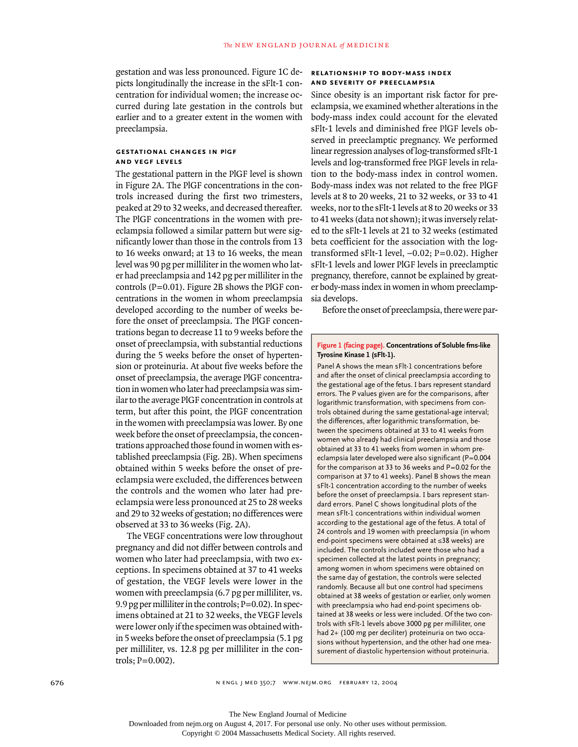gestation and was less pronounced. Figure 1C depicts longitudinally the increase in the sFlt-1 concentration for individual women; the increase occurred during late gestation in the controls but earlier and to a greater extent in the women with preeclampsia.

# **gestational changes in plgf and vegf levels**

The gestational pattern in the PlGF level is shown in Figure 2A. The PlGF concentrations in the controls increased during the first two trimesters, peaked at 29 to 32 weeks, and decreased thereafter. The PlGF concentrations in the women with preeclampsia followed a similar pattern but were significantly lower than those in the controls from 13 to 16 weeks onward; at 13 to 16 weeks, the mean level was 90 pg per milliliter in the women who later had preeclampsia and 142 pg per milliliter in the controls (P=0.01). Figure 2B shows the PlGF concentrations in the women in whom preeclampsia developed according to the number of weeks before the onset of preeclampsia. The PlGF concentrations began to decrease 11 to 9 weeks before the onset of preeclampsia, with substantial reductions during the 5 weeks before the onset of hypertension or proteinuria. At about five weeks before the onset of preeclampsia, the average PlGF concentration in women who later had preeclampsia was similar to the average PlGF concentration in controls at term, but after this point, the PlGF concentration in the women with preeclampsia was lower. By one week before the onset of preeclampsia, the concentrations approached those found in women with established preeclampsia (Fig. 2B). When specimens obtained within 5 weeks before the onset of preeclampsia were excluded, the differences between the controls and the women who later had preeclampsia were less pronounced at 25 to 28 weeks and 29 to 32 weeks of gestation; no differences were observed at 33 to 36 weeks (Fig. 2A).

The VEGF concentrations were low throughout pregnancy and did not differ between controls and women who later had preeclampsia, with two exceptions. In specimens obtained at 37 to 41 weeks of gestation, the VEGF levels were lower in the women with preeclampsia (6.7 pg per milliliter, vs. 9.9 pg per milliliter in the controls; P=0.02). In specimens obtained at 21 to 32 weeks, the VEGF levels were lower only if the specimen was obtained within 5 weeks before the onset of preeclampsia (5.1 pg per milliliter, vs. 12.8 pg per milliliter in the controls; P=0.002).

# **relationship to body-mass index and severity of preeclampsia**

Since obesity is an important risk factor for preeclampsia, we examined whether alterations in the body-mass index could account for the elevated sFlt-1 levels and diminished free PlGF levels observed in preeclamptic pregnancy. We performed linear regression analyses of log-transformed sFlt-1 levels and log-transformed free PlGF levels in relation to the body-mass index in control women. Body-mass index was not related to the free PlGF levels at 8 to 20 weeks, 21 to 32 weeks, or 33 to 41 weeks, nor to the sFlt-1 levels at 8 to 20 weeks or 33 to 41 weeks (data not shown); it was inversely related to the sFlt-1 levels at 21 to 32 weeks (estimated beta coefficient for the association with the logtransformed sFlt-1 level,  $-0.02$ ; P=0.02). Higher sFlt-1 levels and lower PlGF levels in preeclamptic pregnancy, therefore, cannot be explained by greater body-mass index in women in whom preeclampsia develops.

Before the onset of preeclampsia, there were par-

#### **Figure 1 (facing page). Concentrations of Soluble fms-like Tyrosine Kinase 1 (sFlt-1).**

Panel A shows the mean sFlt-1 concentrations before and after the onset of clinical preeclampsia according to the gestational age of the fetus. I bars represent standard errors. The P values given are for the comparisons, after logarithmic transformation, with specimens from controls obtained during the same gestational-age interval; the differences, after logarithmic transformation, between the specimens obtained at 33 to 41 weeks from women who already had clinical preeclampsia and those obtained at 33 to 41 weeks from women in whom preeclampsia later developed were also significant (P=0.004 for the comparison at 33 to 36 weeks and  $P=0.02$  for the comparison at 37 to 41 weeks). Panel B shows the mean sFlt-1 concentration according to the number of weeks before the onset of preeclampsia. I bars represent standard errors. Panel C shows longitudinal plots of the mean sFlt-1 concentrations within individual women according to the gestational age of the fetus. A total of 24 controls and 19 women with preeclampsia (in whom end-point specimens were obtained at ≤38 weeks) are included. The controls included were those who had a specimen collected at the latest points in pregnancy; among women in whom specimens were obtained on the same day of gestation, the controls were selected randomly. Because all but one control had specimens obtained at 38 weeks of gestation or earlier, only women with preeclampsia who had end-point specimens obtained at 38 weeks or less were included. Of the two controls with sFlt-1 levels above 3000 pg per milliliter, one had 2+ (100 mg per deciliter) proteinuria on two occasions without hypertension, and the other had one measurement of diastolic hypertension without proteinuria.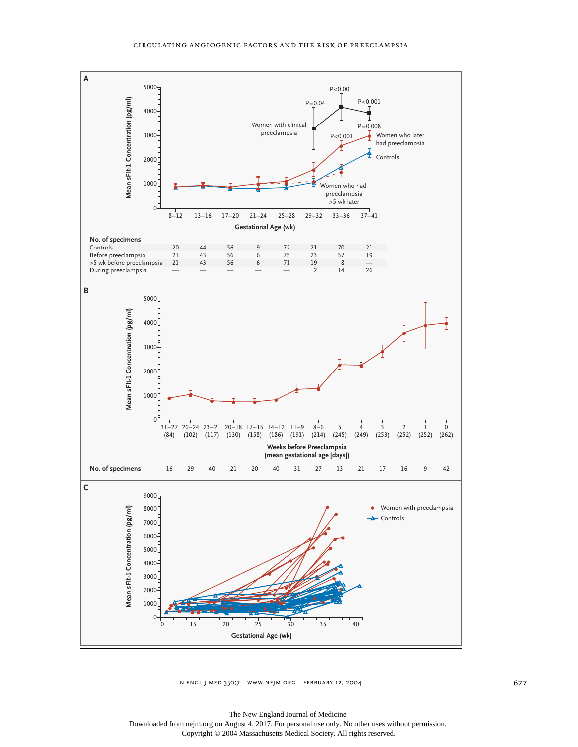

n engl j med 350;7 www.nejm.org february 12, 2004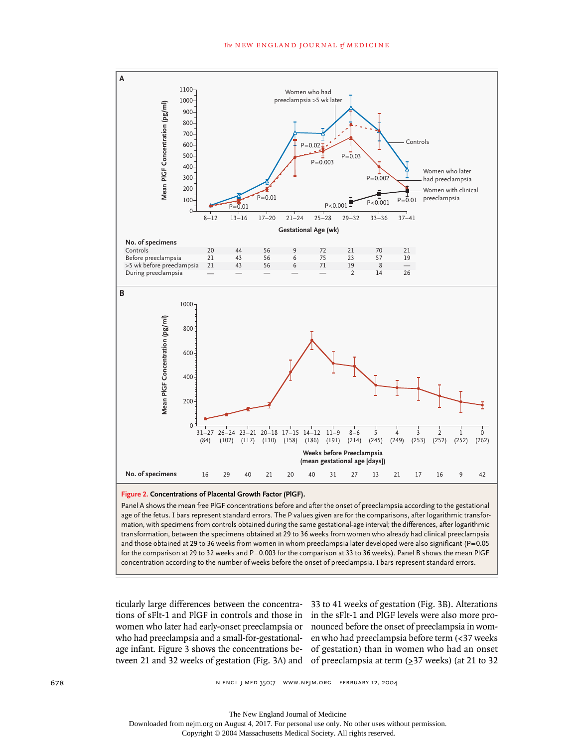

**Figure 2. Concentrations of Placental Growth Factor (PlGF).**

Panel A shows the mean free PlGF concentrations before and after the onset of preeclampsia according to the gestational age of the fetus. I bars represent standard errors. The P values given are for the comparisons, after logarithmic transformation, with specimens from controls obtained during the same gestational-age interval; the differences, after logarithmic transformation, between the specimens obtained at 29 to 36 weeks from women who already had clinical preeclampsia and those obtained at 29 to 36 weeks from women in whom preeclampsia later developed were also significant (P=0.05 for the comparison at 29 to 32 weeks and P=0.003 for the comparison at 33 to 36 weeks). Panel B shows the mean PIGF concentration according to the number of weeks before the onset of preeclampsia. I bars represent standard errors.

tween 21 and 32 weeks of gestation (Fig. 3A) and of preeclampsia at term (≥37 weeks) (at 21 to 32

ticularly large differences between the concentra-33 to 41 weeks of gestation (Fig. 3B). Alterations tions of sFlt-1 and PlGF in controls and those in in the sFlt-1 and PlGF levels were also more prowomen who later had early-onset preeclampsia or nounced before the onset of preeclampsia in womwho had preeclampsia and a small-for-gestational-en who had preeclampsia before term (<37 weeks age infant. Figure 3 shows the concentrations be-of gestation) than in women who had an onset

Downloaded from nejm.org on August 4, 2017. For personal use only. No other uses without permission.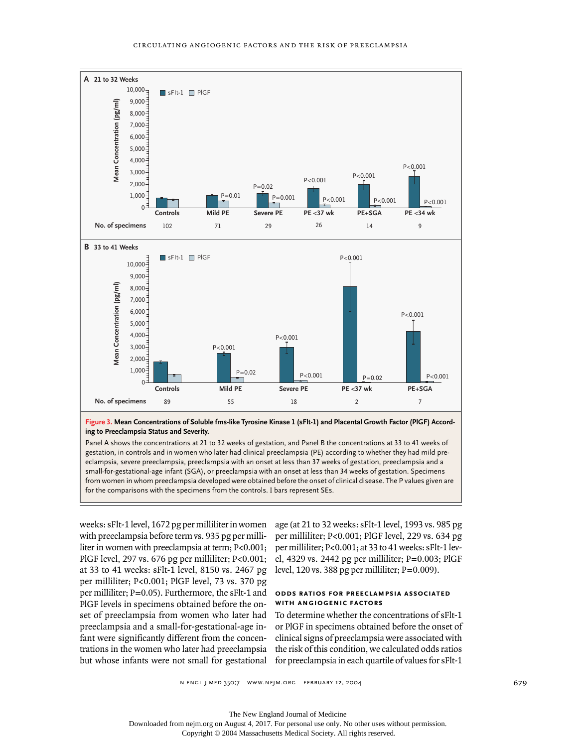

**Figure 3. Mean Concentrations of Soluble fms-like Tyrosine Kinase 1 (sFlt-1) and Placental Growth Factor (PlGF) According to Preeclampsia Status and Severity.**

Panel A shows the concentrations at 21 to 32 weeks of gestation, and Panel B the concentrations at 33 to 41 weeks of gestation, in controls and in women who later had clinical preeclampsia (PE) according to whether they had mild preeclampsia, severe preeclampsia, preeclampsia with an onset at less than 37 weeks of gestation, preeclampsia and a small-for-gestational-age infant (SGA), or preeclampsia with an onset at less than 34 weeks of gestation. Specimens from women in whom preeclampsia developed were obtained before the onset of clinical disease. The P values given are

weeks: sFlt-1 level, 1672 pg per milliliter in women with preeclampsia before term vs. 935 pg per milliliter in women with preeclampsia at term;  $P<0.001$ ; PlGF level, 297 vs. 676 pg per milliliter; P<0.001; el, 4329 vs. 2442 pg per milliliter; P=0.003; PlGF at 33 to 41 weeks: sFlt-1 level, 8150 vs. 2467 pg level, 120 vs. 388 pg per milliliter; P=0.009). per milliliter; P<0.001; PlGF level, 73 vs. 370 pg per milliliter; P=0.05). Furthermore, the sFlt-1 and PlGF levels in specimens obtained before the onset of preeclampsia from women who later had preeclampsia and a small-for-gestational-age infant were significantly different from the concentrations in the women who later had preeclampsia

age (at 21 to 32 weeks: sFlt-1 level, 1993 vs. 985 pg per milliliter; P<0.001; PlGF level, 229 vs. 634 pg per milliliter; P<0.001; at 33 to 41 weeks: sFlt-1 lev-

#### **odds ratios for preeclampsia associated with angiogenic factors**

but whose infants were not small for gestational for preeclampsia in each quartile of values for sFlt-1 To determine whether the concentrations of sFlt-1 or PlGF in specimens obtained before the onset of clinical signs of preeclampsia were associated with the risk of this condition, we calculated odds ratios

n engl j med 350;7 www.nejm.org february 12, 2004

The New England Journal of Medicine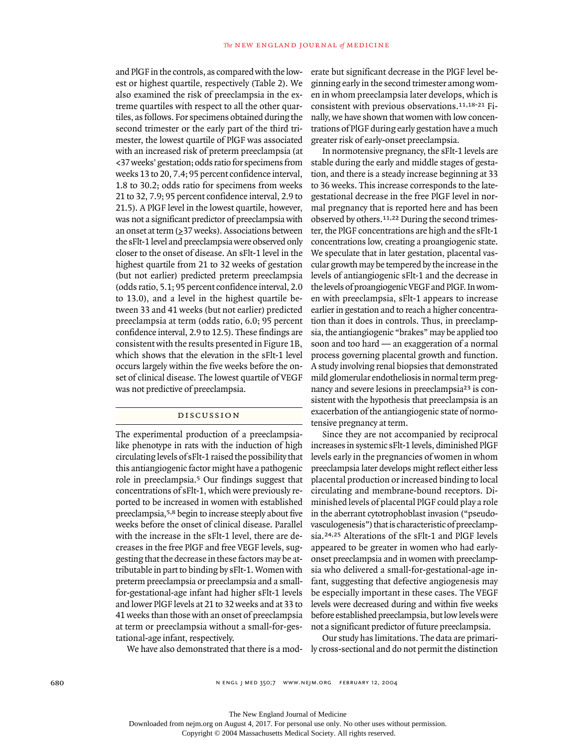and PlGF in the controls, as compared with the lowest or highest quartile, respectively (Table 2). We also examined the risk of preeclampsia in the extreme quartiles with respect to all the other quartiles, as follows. For specimens obtained during the second trimester or the early part of the third trimester, the lowest quartile of PlGF was associated with an increased risk of preterm preeclampsia (at <37 weeks' gestation; odds ratio for specimens from weeks 13 to 20, 7.4; 95 percent confidence interval, 1.8 to 30.2; odds ratio for specimens from weeks 21 to 32, 7.9; 95 percent confidence interval, 2.9 to 21.5). A PlGF level in the lowest quartile, however, was not a significant predictor of preeclampsia with an onset at term (≥37 weeks). Associations between the sFlt-1 level and preeclampsia were observed only closer to the onset of disease. An sFlt-1 level in the highest quartile from 21 to 32 weeks of gestation (but not earlier) predicted preterm preeclampsia (odds ratio, 5.1; 95 percent confidence interval, 2.0 to 13.0), and a level in the highest quartile between 33 and 41 weeks (but not earlier) predicted preeclampsia at term (odds ratio, 6.0; 95 percent confidence interval, 2.9 to 12.5). These findings are consistent with the results presented in Figure 1B, which shows that the elevation in the sFlt-1 level occurs largely within the five weeks before the onset of clinical disease. The lowest quartile of VEGF was not predictive of preeclampsia.

# discussion

The experimental production of a preeclampsialike phenotype in rats with the induction of high circulating levels of sFlt-1 raised the possibility that this antiangiogenic factor might have a pathogenic role in preeclampsia.5 Our findings suggest that concentrations of sFlt-1, which were previously reported to be increased in women with established preeclampsia,5,8 begin to increase steeply about five weeks before the onset of clinical disease. Parallel with the increase in the sFlt-1 level, there are decreases in the free PlGF and free VEGF levels, suggesting that the decrease in these factors may be attributable in part to binding by sFlt-1. Women with preterm preeclampsia or preeclampsia and a smallfor-gestational-age infant had higher sFlt-1 levels and lower PlGF levels at 21 to 32 weeks and at 33 to 41 weeks than those with an onset of preeclampsia at term or preeclampsia without a small-for-gestational-age infant, respectively.

erate but significant decrease in the PlGF level beginning early in the second trimester among women in whom preeclampsia later develops, which is consistent with previous observations.11,18-21 Finally, we have shown that women with low concentrations of PlGF during early gestation have a much greater risk of early-onset preeclampsia.

In normotensive pregnancy, the sFlt-1 levels are stable during the early and middle stages of gestation, and there is a steady increase beginning at 33 to 36 weeks. This increase corresponds to the lategestational decrease in the free PlGF level in normal pregnancy that is reported here and has been observed by others.11,22 During the second trimester, the PlGF concentrations are high and the sFlt-1 concentrations low, creating a proangiogenic state. We speculate that in later gestation, placental vascular growth may be tempered by the increase in the levels of antiangiogenic sFlt-1 and the decrease in the levels of proangiogenic VEGF and PlGF. In women with preeclampsia, sFlt-1 appears to increase earlier in gestation and to reach a higher concentration than it does in controls. Thus, in preeclampsia, the antiangiogenic "brakes" may be applied too soon and too hard — an exaggeration of a normal process governing placental growth and function. A study involving renal biopsies that demonstrated mild glomerular endotheliosis in normal term pregnancy and severe lesions in preeclampsia23 is consistent with the hypothesis that preeclampsia is an exacerbation of the antiangiogenic state of normotensive pregnancy at term.

Since they are not accompanied by reciprocal increases in systemic sFlt-1 levels, diminished PlGF levels early in the pregnancies of women in whom preeclampsia later develops might reflect either less placental production or increased binding to local circulating and membrane-bound receptors. Diminished levels of placental PlGF could play a role in the aberrant cytotrophoblast invasion ("pseudovasculogenesis") that is characteristic of preeclampsia.24,25 Alterations of the sFlt-1 and PlGF levels appeared to be greater in women who had earlyonset preeclampsia and in women with preeclampsia who delivered a small-for-gestational-age infant, suggesting that defective angiogenesis may be especially important in these cases. The VEGF levels were decreased during and within five weeks before established preeclampsia, but low levels were not a significant predictor of future preeclampsia.

We have also demonstrated that there is a mod-ly cross-sectional and do not permit the distinction Our study has limitations. The data are primari-

Downloaded from nejm.org on August 4, 2017. For personal use only. No other uses without permission.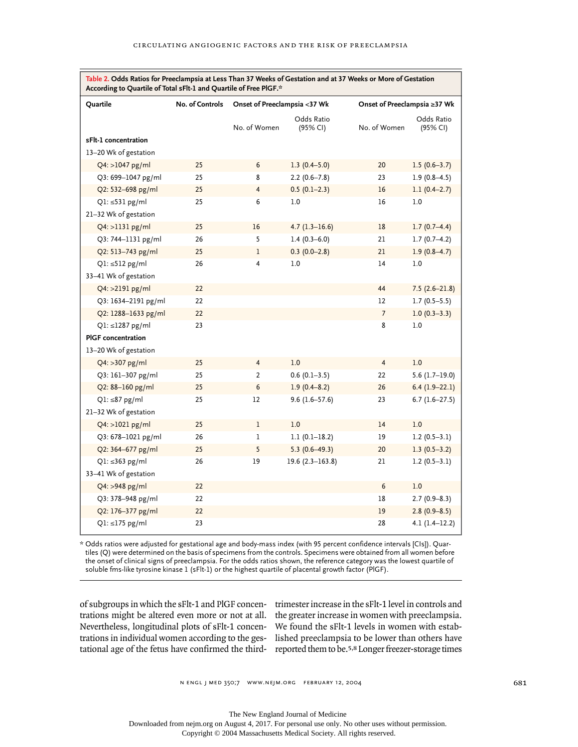| Quartile<br>sFlt-1 concentration              | No. of Controls | Onset of Preeclampsia <37 Wk |                        | Onset of Preeclampsia ≥37 Wk |                        |
|-----------------------------------------------|-----------------|------------------------------|------------------------|------------------------------|------------------------|
|                                               |                 | No. of Women                 | Odds Ratio<br>(95% CI) | No. of Women                 | Odds Ratio<br>(95% CI) |
| 13-20 Wk of gestation                         |                 |                              |                        |                              |                        |
| Q4: >1047 pg/ml                               | 25              | 6                            | 1.3 $(0.4 - 5.0)$      | 20                           | $1.5(0.6-3.7)$         |
| Q3: 699-1047 pg/ml                            | 25              | 8                            | $2.2(0.6 - 7.8)$       | 23                           | $1.9(0.8-4.5)$         |
| Q2: 532-698 pg/ml                             | 25              | 4                            | $0.5(0.1-2.3)$         | 16                           | $1.1(0.4-2.7)$         |
| $Q1: \leq 531$ pg/ml<br>21-32 Wk of gestation | 25              | 6                            | 1.0                    | 16                           | $1.0$                  |
| Q4: >1131 pg/ml                               | 25              | 16                           | $4.7(1.3-16.6)$        | 18                           | $1.7(0.7-4.4)$         |
| Q3: 744-1131 pg/ml                            | 26              | 5                            | $1.4(0.3-6.0)$         | 21                           | $1.7(0.7-4.2)$         |
| Q2: 513-743 pg/ml                             | 25              | 1                            | $0.3(0.0-2.8)$         | 21                           | $1.9(0.8-4.7)$         |
| $Q1: \leq 512$ pg/ml<br>33-41 Wk of gestation | 26              | 4                            | 1.0                    | 14                           | 1.0                    |
| Q4: >2191 pg/ml                               | 22              |                              |                        | 44                           | $7.5(2.6-21.8)$        |
| Q3: 1634-2191 pg/ml                           | 22              |                              |                        | 12                           | $1.7(0.5-5.5)$         |
| Q2: 1288-1633 pg/ml                           | 22              |                              |                        | $\overline{7}$               | $1.0(0.3-3.3)$         |
| $Q1: \leq 1287$ pg/ml                         | 23              |                              |                        | 8                            | 1.0                    |
| <b>PIGF</b> concentration                     |                 |                              |                        |                              |                        |
| 13-20 Wk of gestation                         |                 |                              |                        |                              |                        |
| Q4: > 307 pg/ml                               | 25              | 4                            | 1.0                    | $\overline{4}$               | 1.0                    |
| Q3: 161-307 pg/ml                             | 25              | 2                            | $0.6(0.1-3.5)$         | 22                           | $5.6(1.7-19.0)$        |
| Q2: 88-160 pg/ml                              | 25              | 6                            | $1.9(0.4 - 8.2)$       | 26                           | $6.4(1.9-22.1)$        |
| $Q1: \leq 87$ pg/ml<br>21-32 Wk of gestation  | 25              | 12                           | $9.6(1.6 - 57.6)$      | 23                           | $6.7(1.6-27.5)$        |
| Q4: >1021 pg/ml                               | 25              | 1                            | 1.0                    | 14                           | 1.0                    |
| Q3: 678-1021 pg/ml                            | 26              | 1                            | $1.1(0.1-18.2)$        | 19                           | $1.2(0.5-3.1)$         |
| $Q2: 364 - 677$ pg/ml                         | 25              | 5                            | $5.3(0.6-49.3)$        | 20                           | $1.3(0.5-3.2)$         |
| $Q1: \leq 363$ pg/ml<br>33-41 Wk of gestation | 26              | 19                           | $19.6(2.3 - 163.8)$    | 21                           | $1.2(0.5-3.1)$         |
| $Q4: >948$ pg/ml                              | 22              |                              |                        | 6                            | 1.0                    |
| Q3: 378-948 pg/ml                             | 22              |                              |                        | 18                           | $2.7(0.9 - 8.3)$       |
| Q2: 176-377 pg/ml                             | 22              |                              |                        | 19                           | $2.8(0.9 - 8.5)$       |
| $Q1: \leq 175$ pg/ml                          | 23              |                              |                        | 28                           | $4.1(1.4-12.2)$        |

**Table 2. Odds Ratios for Preeclampsia at Less Than 37 Weeks of Gestation and at 37 Weeks or More of Gestation** 

Г

\* Odds ratios were adjusted for gestational age and body-mass index (with 95 percent confidence intervals [CIs]). Quartiles (Q) were determined on the basis of specimens from the controls. Specimens were obtained from all women before the onset of clinical signs of preeclampsia. For the odds ratios shown, the reference category was the lowest quartile of soluble fms-like tyrosine kinase 1 (sFlt-1) or the highest quartile of placental growth factor (PlGF).

trations might be altered even more or not at all. the greater increase in women with preeclampsia. Nevertheless, longitudinal plots of sFlt-1 concen-We found the sFlt-1 levels in women with estabtrations in individual women according to the ges-lished preeclampsia to be lower than others have tational age of the fetus have confirmed the third- reported them to be.<sup>5,8</sup> Longer freezer-storage times

of subgroups in which the sFlt-1 and PlGF concen-trimester increase in the sFlt-1 level in controls and

n engl j med 350;7 www.nejm.org february 12, 2004

The New England Journal of Medicine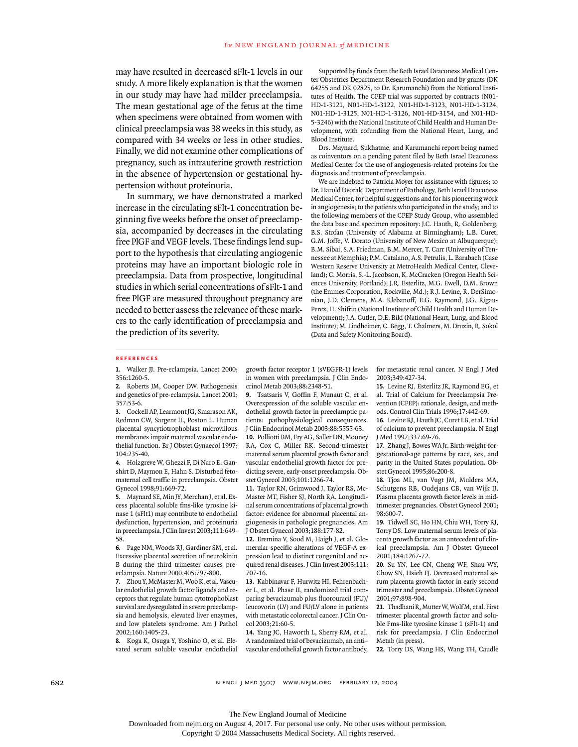may have resulted in decreased sFlt-1 levels in our study. A more likely explanation is that the women in our study may have had milder preeclampsia. The mean gestational age of the fetus at the time when specimens were obtained from women with clinical preeclampsia was 38 weeks in this study, as compared with 34 weeks or less in other studies. Finally, we did not examine other complications of pregnancy, such as intrauterine growth restriction in the absence of hypertension or gestational hypertension without proteinuria.

In summary, we have demonstrated a marked increase in the circulating sFlt-1 concentration beginning five weeks before the onset of preeclampsia, accompanied by decreases in the circulating free PlGF and VEGF levels. These findings lend support to the hypothesis that circulating angiogenic proteins may have an important biologic role in preeclampsia. Data from prospective, longitudinal studies in which serial concentrations of sFlt-1 and free PlGF are measured throughout pregnancy are needed to better assess the relevance of these markers to the early identification of preeclampsia and the prediction of its severity.

Supported by funds from the Beth Israel Deaconess Medical Center Obstetrics Department Research Foundation and by grants (DK 64255 and DK 02825, to Dr. Karumanchi) from the National Institutes of Health. The CPEP trial was supported by contracts (N01- HD-1-3121, N01-HD-1-3122, N01-HD-1-3123, N01-HD-1-3124, N01-HD-1-3125, N01-HD-1-3126, N01-HD-3154, and N01-HD-5-3246) with the National Institute of Child Health and Human Development, with cofunding from the National Heart, Lung, and Blood Institute.

Drs. Maynard, Sukhatme, and Karumanchi report being named as coinventors on a pending patent filed by Beth Israel Deaconess Medical Center for the use of angiogenesis-related proteins for the diagnosis and treatment of preeclampsia.

We are indebted to Patricia Moyer for assistance with figures; to Dr. Harold Dvorak, Department of Pathology, Beth Israel Deaconess Medical Center, for helpful suggestions and for his pioneering work in angiogenesis; to the patients who participated in the study; and to the following members of the CPEP Study Group, who assembled the data base and specimen repository: J.C. Hauth, R. Goldenberg, B.S. Stofan (University of Alabama at Birmingham); L.B. Curet, G.M. Joffe, V. Dorato (University of New Mexico at Albuquerque); B.M. Sibai, S.A. Friedman, B.M. Mercer, T. Carr (University of Tennessee at Memphis); P.M. Catalano, A.S. Petrulis, L. Barabach (Case Western Reserve University at MetroHealth Medical Center, Cleveland); C. Morris, S.-L. Jacobson, K. McCracken (Oregon Health Sciences University, Portland); J.R. Esterlitz, M.G. Ewell, D.M. Brown (the Emmes Corporation, Rockville, Md.); R.J. Levine, R. DerSimonian, J.D. Clemens, M.A. Klebanoff, E.G. Raymond, J.G. Rigau-Perez, H. Shifrin (National Institute of Child Health and Human Development); J.A. Cutler, D.E. Bild (National Heart, Lung, and Blood Institute); M. Lindheimer, C. Begg, T. Chalmers, M. Druzin, R. Sokol (Data and Safety Monitoring Board).

#### **references**

**1.** Walker JJ. Pre-eclampsia. Lancet 2000; 356:1260-5.

**2.** Roberts JM, Cooper DW. Pathogenesis and genetics of pre-eclampsia. Lancet 2001; 357:53-6.

**3.** Cockell AP, Learmont JG, Smarason AK, Redman CW, Sargent IL, Poston L. Human placental syncytiotrophoblast microvillous membranes impair maternal vascular endothelial function. Br J Obstet Gynaecol 1997; 104:235-40.

**4.** Holzgreve W, Ghezzi F, Di Naro E, Ganshirt D, Maymon E, Hahn S. Disturbed fetomaternal cell traffic in preeclampsia. Obstet Gynecol 1998;91:669-72.

**5.** Maynard SE, Min JY, Merchan J, et al. Excess placental soluble fms-like tyrosine kinase 1 (sFlt1) may contribute to endothelial dysfunction, hypertension, and proteinuria in preeclampsia. J Clin Invest 2003;111:649- 58.

**6.** Page NM, Woods RJ, Gardiner SM, et al. Excessive placental secretion of neurokinin B during the third trimester causes preeclampsia. Nature 2000;405:797-800.

**7.** Zhou Y, McMaster M, Woo K, et al. Vascular endothelial growth factor ligands and receptors that regulate human cytotrophoblast survival are dysregulated in severe preeclampsia and hemolysis, elevated liver enzymes, and low platelets syndrome. Am J Pathol 2002;160:1405-23.

**8.** Koga K, Osuga Y, Yoshino O, et al. Elevated serum soluble vascular endothelial

growth factor receptor 1 (sVEGFR-1) levels in women with preeclampsia. J Clin Endocrinol Metab 2003;88:2348-51.

**9.** Tsatsaris V, Goffin F, Munaut C, et al. Overexpression of the soluble vascular endothelial growth factor in preeclamptic patients: pathophysiological consequences. J Clin Endocrinol Metab 2003;88:5555-63. **10.** Polliotti BM, Fry AG, Saller DN, Mooney RA, Cox C, Miller RK. Second-trimester maternal serum placental growth factor and vascular endothelial growth factor for predicting severe, early-onset preeclampsia. Obstet Gynecol 2003;101:1266-74.

**11.** Taylor RN, Grimwood J, Taylor RS, Mc-Master MT, Fisher SJ, North RA. Longitudinal serum concentrations of placental growth factor: evidence for abnormal placental angiogenesis in pathologic pregnancies. Am J Obstet Gynecol 2003;188:177-82.

**12.** Eremina V, Sood M, Haigh J, et al. Glomerular-specific alterations of VEGF-A expression lead to distinct congenital and acquired renal diseases. J Clin Invest 2003;111: 707-16.

**13.** Kabbinavar F, Hurwitz HI, Fehrenbacher L, et al. Phase II, randomized trial comparing bevacizumab plus fluorouracil (FU)/ leucovorin (LV) and FU/LV alone in patients with metastatic colorectal cancer. J Clin Oncol 2003;21:60-5.

**14.** Yang JC, Haworth L, Sherry RM, et al. A randomized trial of bevacizumab, an anti– vascular endothelial growth factor antibody, for metastatic renal cancer. N Engl J Med 2003;349:427-34.

**15.** Levine RJ, Esterlitz JR, Raymond EG, et al. Trial of Calcium for Preeclampsia Prevention (CPEP): rationale, design, and methods. Control Clin Trials 1996;17:442-69.

**16.** Levine RJ, Hauth JC, Curet LB, et al. Trial of calcium to prevent preeclampsia. N Engl J Med 1997;337:69-76.

**17.** Zhang J, Bowes WA Jr. Birth-weight-forgestational-age patterns by race, sex, and parity in the United States population. Obstet Gynecol 1995;86:200-8.

**18.** Tjoa ML, van Vugt JM, Mulders MA, Schutgens RB, Oudejans CB, van Wijk IJ. Plasma placenta growth factor levels in midtrimester pregnancies. Obstet Gynecol 2001; 98:600-7.

**19.** Tidwell SC, Ho HN, Chiu WH, Torry RJ, Torry DS. Low maternal serum levels of placenta growth factor as an antecedent of clinical preeclampsia. Am J Obstet Gynecol 2001;184:1267-72.

**20.** Su YN, Lee CN, Cheng WF, Shau WY, Chow SN, Hsieh FJ. Decreased maternal serum placenta growth factor in early second trimester and preeclampsia. Obstet Gynecol 2001;97:898-904.

**21.** Thadhani R, Mutter W, Wolf M, et al. First trimester placental growth factor and soluble Fms-like tyrosine kinase 1 (sFlt-1) and risk for preeclampsia. J Clin Endocrinol Metab (in press).

**22.** Torry DS, Wang HS, Wang TH, Caudle